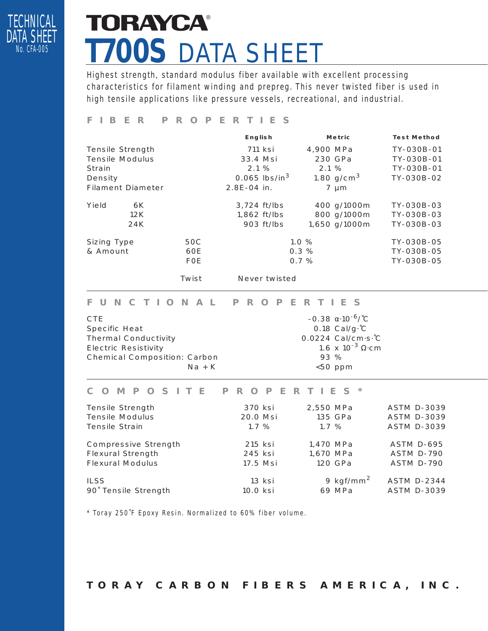

# **TORAYCA®** *T700S* DATA SHEET

Highest strength, standard modulus fiber available with excellent processing characteristics for filament winding and prepreg. This never twisted fiber is used in high tensile applications like pressure vessels, recreational, and industrial.

# *FIBER PROPERTIES*

|                          |            | <b>English</b>              | <b>Metric</b> | <b>Test Method</b> |
|--------------------------|------------|-----------------------------|---------------|--------------------|
| Tensile Strength         |            | 711 ksi                     | 4,900 MPa     | TY-030B-01         |
| <b>Tensile Modulus</b>   |            | 33.4 Msi                    | 230 GPa       | TY-030B-01         |
| Strain                   |            | 2.1%                        | 2.1%          | TY-030B-01         |
| Density                  |            | $0.065$ lbs/in <sup>3</sup> | 1.80 $q/cm^3$ | TY-030B-02         |
| <b>Filament Diameter</b> |            | 2.8E-04 in.                 | $7 \mu m$     |                    |
| Yield<br>6K              |            | 3,724 ft/lbs                | 400 g/1000m   | TY-030B-03         |
| 12K                      |            | $1,862$ ft/lbs              | 800 g/1000m   | TY-030B-03         |
| 24K                      |            | 903 ft/lbs                  | 1,650 g/1000m | TY-030B-03         |
| Sizing Type              | 50C        |                             | 1.0%          | TY-030B-05         |
| & Amount                 | 60E        |                             | 0.3%          | TY-030B-05         |
|                          | <b>FOE</b> |                             | 0.7%          | TY-030B-05         |
|                          | Twist      | Never twisted               |               |                    |

#### *FUNCTIONAL PROPERTIES*

| CTE.                         | $-0.38$ α $\cdot$ 10 <sup>-6</sup> / <sup>-</sup> C |
|------------------------------|-----------------------------------------------------|
| Specific Heat                | 0.18 $Cal/q.C$                                      |
| <b>Thermal Conductivity</b>  | 0.0224 Cal/cm.s. C                                  |
| <b>Electric Resistivity</b>  | 1.6 x 10 <sup>-3</sup> $\Omega$ cm                  |
| Chemical Composition: Carbon | 93 %                                                |
| $Na + K$                     | $< 50$ ppm                                          |

### *COMPOSITE PROPERTIES\**

| Tensile Strength         | 370 ksi  | 2,550 MPa             | <b>ASTM D-3039</b> |
|--------------------------|----------|-----------------------|--------------------|
| <b>Tensile Modulus</b>   | 20.0 Msi | 135 GPa               | <b>ASTM D-3039</b> |
| Tensile Strain           | $1.7\%$  | $1.7\%$               | <b>ASTM D-3039</b> |
| Compressive Strength     | 215 ksi  | 1,470 MPa             | <b>ASTM D-695</b>  |
| <b>Flexural Strength</b> | 245 ksi  | 1,670 MPa             | <b>ASTM D-790</b>  |
| <b>Flexural Modulus</b>  | 17.5 Msi | 120 GPa               | <b>ASTM D-790</b>  |
| <b>ILSS</b>              | 13 ksi   | 9 kgf/mm <sup>2</sup> | <b>ASTM D-2344</b> |
| 90° Tensile Strength     | 10.0 ksi | 69 MPa                | <b>ASTM D-3039</b> |

\* Toray 250˚F Epoxy Resin. Normalized to 60% fiber volume.